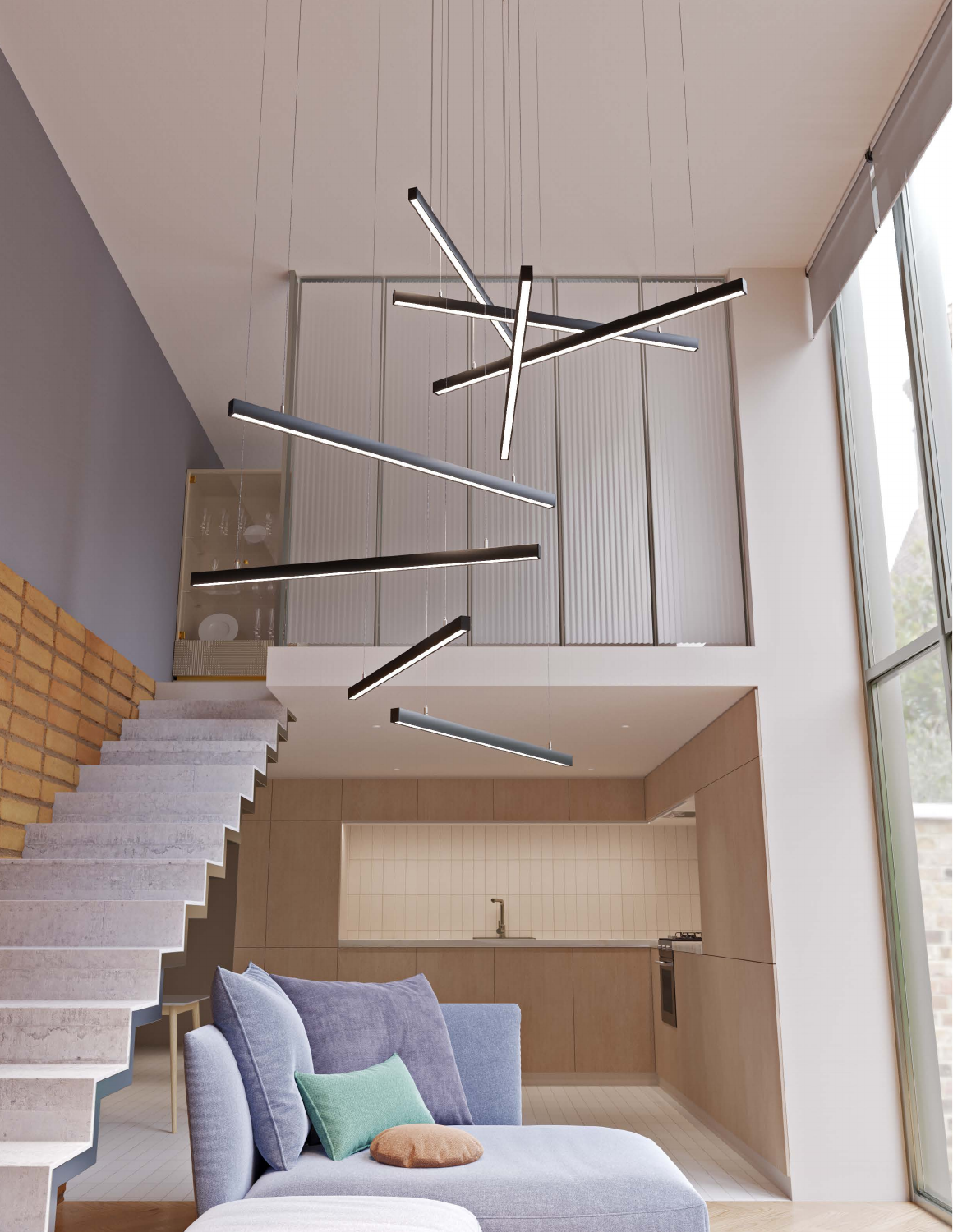